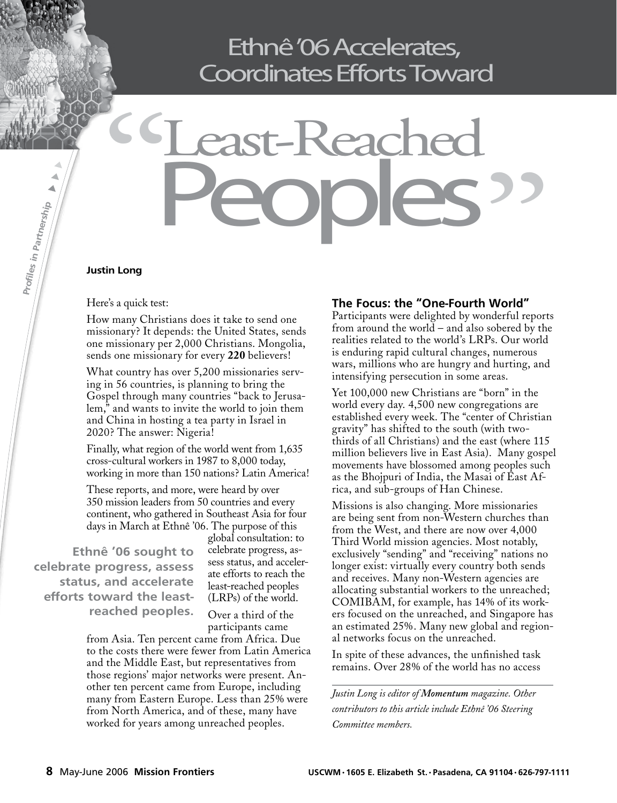## Ethnê '06 Accelerates, Coordinates Efforts Toward

# Keache Peoples " CS -<br>Sand<br>Sand The World"

### **Justin Long**

**Profles in**

**Part**

**nership**

### Here's a quick test:

How many Christians does it take to send one missionary? It depends: the United States, sends one missionary per 2,000 Christians. Mongolia, sends one missionary for every **220** believers!

What country has over 5,200 missionaries serving in 56 countries, is planning to bring the Gospel through many countries "back to Jerusalem," and wants to invite the world to join them and China in hosting a tea party in Israel in 2020? The answer: Nigeria!

Finally, what region of the world went from 1,635 cross-cultural workers in 1987 to 8,000 today, working in more than 150 nations? Latin America!

These reports, and more, were heard by over 350 mission leaders from 50 countries and every continent, who gathered in Southeast Asia for four days in March at Ethnê '06. The purpose of this

**Ethnê '06 sought to celebrate progress, assess status, and accelerate efforts toward the leastreached peoples.**

global consultation: to celebrate progress, assess status, and accelerate efforts to reach the least-reached peoples (LRPs) of the world.

Over a third of the participants came

from Asia. Ten percent came from Africa. Due to the costs there were fewer from Latin America and the Middle East, but representatives from those regions' major networks were present. Another ten percent came from Europe, including many from Eastern Europe. Less than 25% were from North America, and of these, many have worked for years among unreached peoples.

### **The Focus: the "One-Fourth World"**

Participants were delighted by wonderful reports from around the world – and also sobered by the realities related to the world's LRPs. Our world is enduring rapid cultural changes, numerous wars, millions who are hungry and hurting, and intensifying persecution in some areas.

Yet 100,000 new Christians are "born" in the world every day. 4,500 new congregations are established every week. The "center of Christian gravity" has shifted to the south (with twothirds of all Christians) and the east (where 115 million believers live in East Asia). Many gospel movements have blossomed among peoples such as the Bhojpuri of India, the Masai of East Africa, and sub-groups of Han Chinese.

Missions is also changing. More missionaries are being sent from non-Western churches than from the West, and there are now over 4,000 Third World mission agencies. Most notably, exclusively "sending" and "receiving" nations no longer exist: virtually every country both sends and receives. Many non-Western agencies are allocating substantial workers to the unreached; COMIBAM, for example, has 14% of its workers focused on the unreached, and Singapore has an estimated 25%. Many new global and regional networks focus on the unreached.

In spite of these advances, the unfinished task remains. Over 28% of the world has no access

*Justin Long is editor of Momentum magazine. Other contributors to this article include Ethnê '06 Steering Committee members.*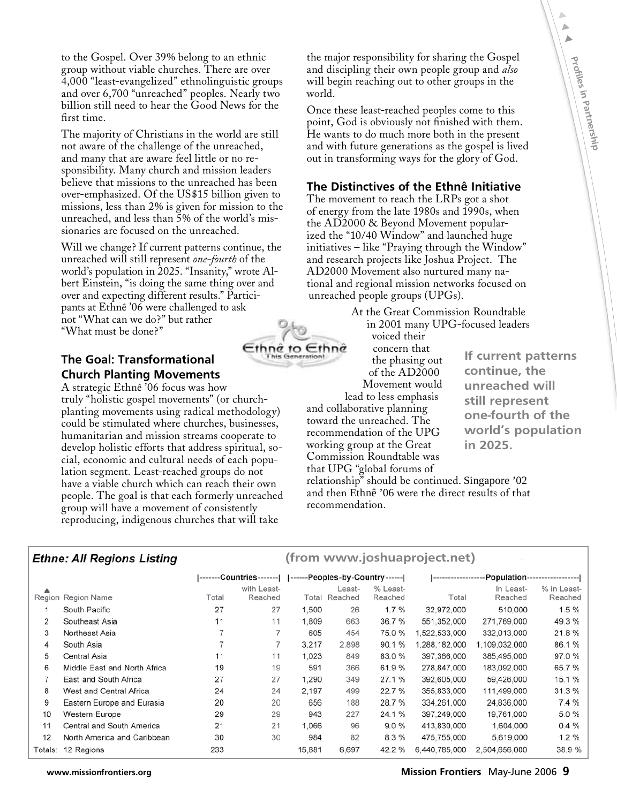to the Gospel. Over 39% belong to an ethnic group without viable churches. There are over 4,000 "least-evangelized" ethnolinguistic groups and over 6,700 "unreached" peoples. Nearly two billion still need to hear the Good News for the first time.

The majority of Christians in the world are still not aware of the challenge of the unreached, and many that are aware feel little or no responsibility. Many church and mission leaders believe that missions to the unreached has been over-emphasized. Of the US\$15 billion given to missions, less than 2% is given for mission to the unreached, and less than 5% of the world's missionaries are focused on the unreached.

Will we change? If current patterns continue, the unreached will still represent *one-fourth* of the world's population in 2025. "Insanity," wrote Albert Einstein, "is doing the same thing over and over and expecting different results." Participants at Ethnê '06 were challenged to ask not "What can we do?" but rather "What must be done?"

### **The Goal: Transformational Church Planting Movements**

A strategic Ethnê '06 focus was how truly "holistic gospel movements" (or churchplanting movements using radical methodology) could be stimulated where churches, businesses, humanitarian and mission streams cooperate to develop holistic efforts that address spiritual, social, economic and cultural needs of each population segment. Least-reached groups do not have a viable church which can reach their own people. The goal is that each formerly unreached group will have a movement of consistently reproducing, indigenous churches that will take

the major responsibility for sharing the Gospel and discipling their own people group and *also* will begin reaching out to other groups in the world.

Once these least-reached peoples come to this point, God is obviously not finished with them. He wants to do much more both in the present and with future generations as the gospel is lived out in transforming ways for the glory of God.

### **The Distinctives of the Ethnê Initiative**

The movement to reach the LRPs got a shot of energy from the late 1980s and 1990s, when the AD2000 & Beyond Movement popularized the "10/40 Window" and launched huge initiatives – like "Praying through the Window" and research projects like Joshua Project. The AD2000 Movement also nurtured many national and regional mission networks focused on unreached people groups (UPGs).

> At the Great Commission Roundtable in 2001 many UPG-focused leaders

voiced their concern that the phasing out of the AD2000 Movement would lead to less emphasis and collaborative planning

toward the unreached. The recommendation of the UPG working group at the Great Commission Roundtable was that UPG "global forums of

**(from www.joshuaproject.net)**

**If current patterns continue, the unreached will still represent one-fourth of the world's population in 2025.**

**Profles**

A

**in**

**Partnership**

relationship" should be continued. Singapore '02 and then Ethnê '06 were the direct results of that recommendation.

### **Ethne: All Regions Listing**

|         |                              |       |                        |        |                         |                     | -------------------Population------------------- |                      |                        |
|---------|------------------------------|-------|------------------------|--------|-------------------------|---------------------|--------------------------------------------------|----------------------|------------------------|
|         | Region Region Name           | Total | with Least-<br>Reached |        | Least-<br>Total Reached | % Least-<br>Reached | Total                                            | In Least-<br>Reached | % in Least-<br>Reached |
|         | South Pacific                | 27    | 27                     | 1,500  | 26                      | 1.7%                | 32.972.000                                       | 510,000              | 1.5 %                  |
| 2       | Southeast Asia               | 11    | 11                     | 1,809  | 663                     | 36.7 %              | 551.352.000                                      | 271.769.000          | 49.3%                  |
| 3       | Northeast Asia               |       |                        | 605    | 454                     | 75.0%               | 1.522.533.000                                    | 332,013,000          | 21.8%                  |
| 4       | South Asia                   |       |                        | 3.217  | 2,898                   | 90.1 %              | 1.288.182.000                                    | 1,109,032,000        | 86.1 %                 |
| 5       | Central Asia                 | 11    | 11                     | 1.023  | 849                     | 83.0%               | 397.366.000                                      | 385,495,000          | 97.0%                  |
| 6       | Middle East and North Africa | 19    | 19                     | 591    | 366                     | 61.9%               | 278.847.000                                      | 183,092,000          | 65.7 %                 |
|         | East and South Africa        | 27    | 27                     | 1,290  | 349                     | 27.1 %              | 392.605.000                                      | 59.426,000           | 15.1 %                 |
| 8       | West and Central Africa      | 24    | 24                     | 2.197  | 499                     | 22.7 %              | 355,833,000                                      | 111,499,000          | 31.3%                  |
| 9       | Eastern Europe and Eurasia   | 20    | 20                     | 656    | 188                     | 28.7 %              | 334.261.000                                      | 24.836.000           | 7.4 %                  |
| 10      | <b>Western Europe</b>        | 29    | 29                     | 943    | 227                     | 24.1 %              | 397.249.000                                      | 19,761,000           | 5.0%                   |
| 11      | Central and South America    | 21    | 21                     | 1.066  | 96                      | 9.0%                | 413,830,000                                      | 1,604,000            | 0.4%                   |
| 12      | North America and Caribbean  | 30    | 30                     | 984    | 82                      | 8.3%                | 475,755,000                                      | 5,619,000            | $1.2 \%$               |
| Totals: | 12 Regions                   | 233   |                        | 15,881 | 6.697                   | 42.2 %              | 6.440.785,000                                    | 2,504,656,000        | 38.9%                  |

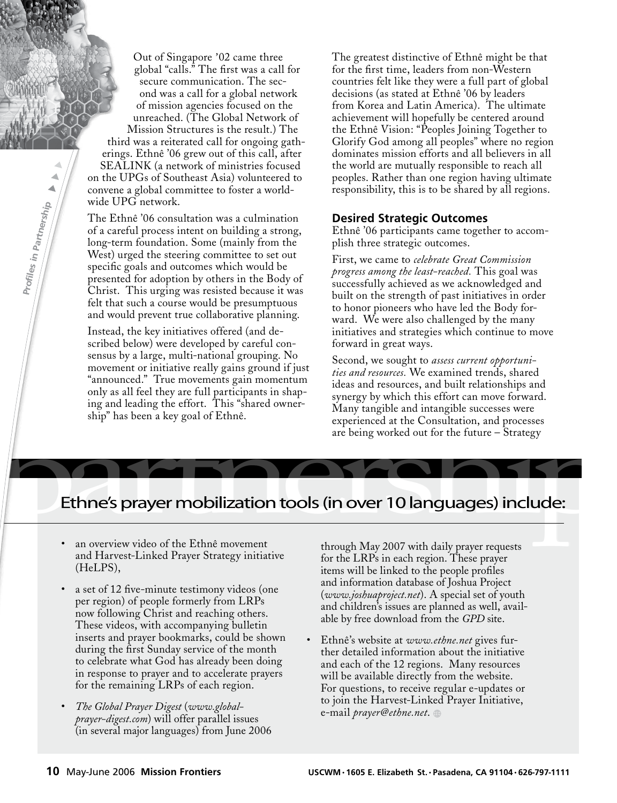Out of Singapore '02 came three global "calls." The first was a call for secure communication. The second was a call for a global network of mission agencies focused on the unreached. (The Global Network of Mission Structures is the result.) The third was a reiterated call for ongoing gatherings. Ethnê '06 grew out of this call, after SEALINK (a network of ministries focused on the UPGs of Southeast Asia) volunteered to convene a global committee to foster a worldwide UPG network.

The Ethnê '06 consultation was a culmination of a careful process intent on building a strong, long-term foundation. Some (mainly from the West) urged the steering committee to set out specific goals and outcomes which would be presented for adoption by others in the Body of Christ. This urging was resisted because it was felt that such a course would be presumptuous and would prevent true collaborative planning.

**Profles in**

**Partnership**

Instead, the key initiatives offered (and described below) were developed by careful consensus by a large, multi-national grouping. No movement or initiative really gains ground if just "announced." True movements gain momentum only as all feel they are full participants in shaping and leading the effort. This "shared ownership" has been a key goal of Ethnê.

The greatest distinctive of Ethnê might be that for the first time, leaders from non-Western countries felt like they were a full part of global decisions (as stated at Ethnê '06 by leaders from Korea and Latin America). The ultimate achievement will hopefully be centered around the Ethnê Vision: "Peoples Joining Together to Glorify God among all peoples" where no region dominates mission efforts and all believers in all the world are mutually responsible to reach all peoples. Rather than one region having ultimate responsibility, this is to be shared by all regions.

### **Desired Strategic Outcomes**

Ethnê '06 participants came together to accomplish three strategic outcomes.

First, we came to *celebrate Great Commission progress among the least-reached.* This goal was successfully achieved as we acknowledged and built on the strength of past initiatives in order to honor pioneers who have led the Body forward. We were also challenged by the many initiatives and strategies which continue to move forward in great ways.

only as all feel they are full participants in shaper and the system of the shared owner-<br>ing and leading the effort. This "shared owner-<br>ship" has been a key goal of Ethné.<br>Any tangible and intangible successes were<br>exper Second, we sought to *assess current opportunities and resources.* We examined trends, shared ideas and resources, and built relationships and synergy by which this effort can move forward. Many tangible and intangible successes were experienced at the Consultation, and processes are being worked out for the future – Strategy

- an overview video of the Ethnê movement and Harvest-Linked Prayer Strategy initiative (HeLPS),
- a set of 12 five-minute testimony videos (one per region) of people formerly from LRPs now following Christ and reaching others. These videos, with accompanying bulletin inserts and prayer bookmarks, could be shown during the first Sunday service of the month to celebrate what God has already been doing in response to prayer and to accelerate prayers for the remaining LRPs of each region.
- *The Global Prayer Digest* (*www.globalprayer-digest.com*) will offer parallel issues (in several major languages) from June 2006

through May 2007 with daily prayer requests for the LRPs in each region. These prayer items will be linked to the people profiles and information database of Joshua Project (*www.joshuaproject.net*). A special set of youth and children's issues are planned as well, available by free download from the *GPD* site.

• Ethnê's website at *www.ethne.net* gives further detailed information about the initiative and each of the 12 regions. Many resources will be available directly from the website. For questions, to receive regular e-updates or to join the Harvest-Linked Prayer Initiative, e-mail *prayer@ethne.net*.